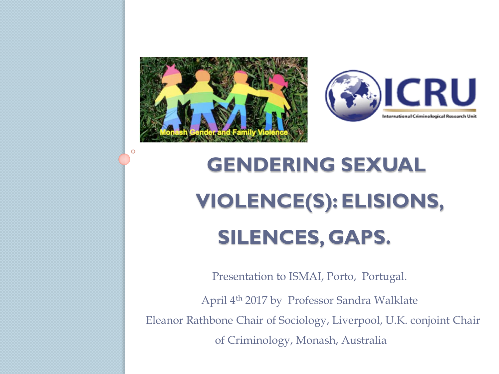

O



## **GENDERING SEXUAL VIOLENCE(S): ELISIONS, SILENCES, GAPS.**

Presentation to ISMAI, Porto, Portugal.

April 4th 2017 by Professor Sandra Walklate Eleanor Rathbone Chair of Sociology, Liverpool, U.K. conjoint Chair of Criminology, Monash, Australia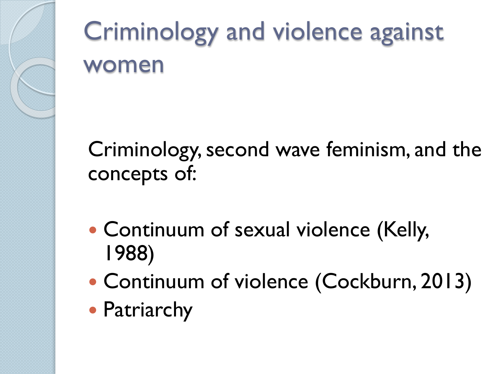

## Criminology and violence against women

Criminology, second wave feminism, and the concepts of:

- Continuum of sexual violence (Kelly, 1988)
- Continuum of violence (Cockburn, 2013)
- Patriarchy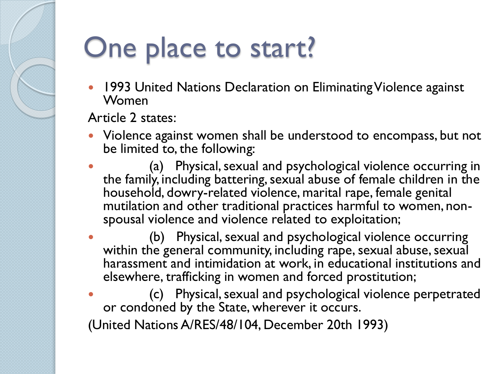## One place to start?

 1993 United Nations Declaration on Eliminating Violence against Women

Article 2 states:

- Violence against women shall be understood to encompass, but not be limited to, the following:
- (a) Physical, sexual and psychological violence occurring in the family, including battering, sexual abuse of female children in the household, dowry-related violence, marital rape, female genital mutilation and other traditional practices harmful to women, nonspousal violence and violence related to exploitation;
- (b) Physical, sexual and psychological violence occurring within the general community, including rape, sexual abuse, sexual harassment and intimidation at work, in educational institutions and elsewhere, trafficking in women and forced prostitution;
- (c) Physical, sexual and psychological violence perpetrated or condoned by the State, wherever it occurs.

(United Nations A/RES/48/104, December 20th 1993)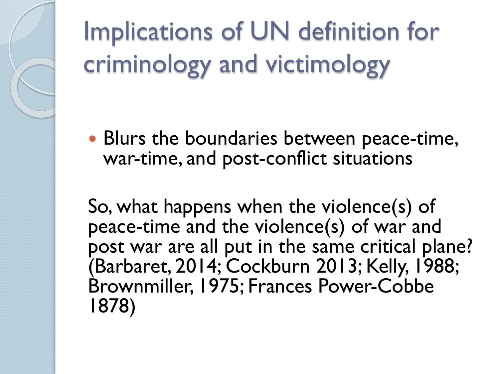Implications of UN definition for criminology and victimology

 Blurs the boundaries between peace-time, war-time, and post-conflict situations

So, what happens when the violence(s) of peace-time and the violence(s) of war and post war are all put in the same critical plane? (Barbaret, 2014; Cockburn 2013; Kelly, 1988; Brownmiller, 1975; Frances Power-Cobbe 1878)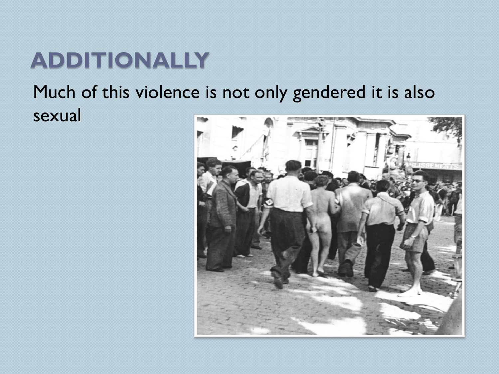#### **ADDITIONALLY**

#### Much of this violence is not only gendered it is also sexual

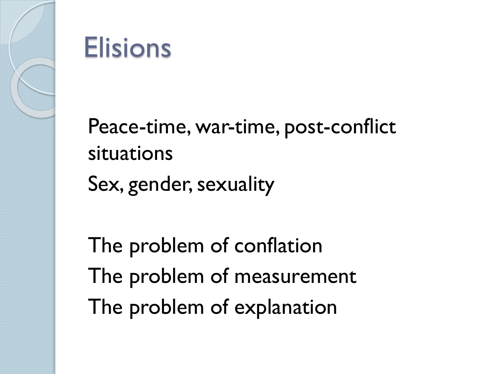

#### **Elisions**

Peace-time, war-time, post-conflict situations Sex, gender, sexuality

The problem of conflation The problem of measurement The problem of explanation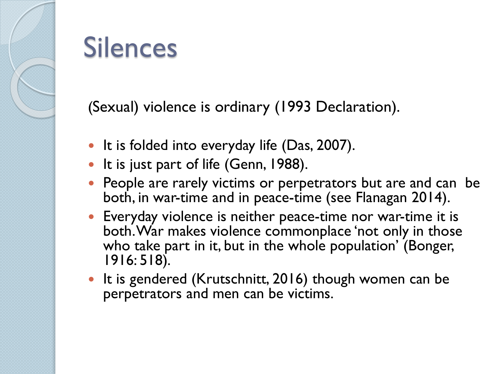

#### Silences

(Sexual) violence is ordinary (1993 Declaration).

- It is folded into everyday life  $(Das, 2007)$ .
- It is just part of life (Genn, 1988).
- People are rarely victims or perpetrators but are and can be both, in war-time and in peace-time (see Flanagan 2014).
- Everyday violence is neither peace-time nor war-time it is both. War makes violence commonplace 'not only in those who take part in it, but in the whole population' (Bonger, 1916: 518).
- It is gendered (Krutschnitt, 2016) though women can be perpetrators and men can be victims.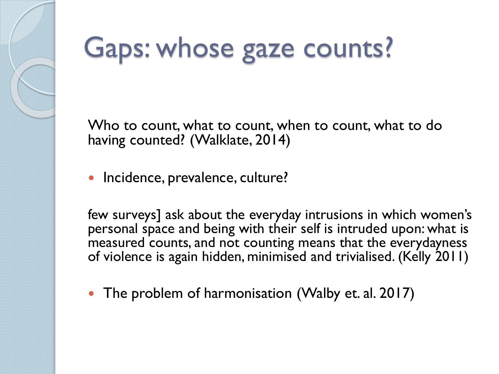# Gaps: whose gaze counts?

Who to count, what to count, when to count, what to do having counted? (Walklate, 2014)

**·** Incidence, prevalence, culture?

few surveys] ask about the everyday intrusions in which women's personal space and being with their self is intruded upon: what is measured counts, and not counting means that the everydayness of violence is again hidden, minimised and trivialised. (Kelly 2011)

The problem of harmonisation (Walby et. al. 2017)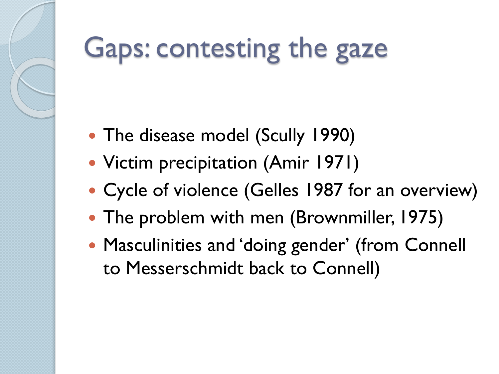## Gaps: contesting the gaze

- The disease model (Scully 1990)
- Victim precipitation (Amir 1971)
- Cycle of violence (Gelles 1987 for an overview)
- The problem with men (Brownmiller, 1975)
- Masculinities and 'doing gender' (from Connell to Messerschmidt back to Connell)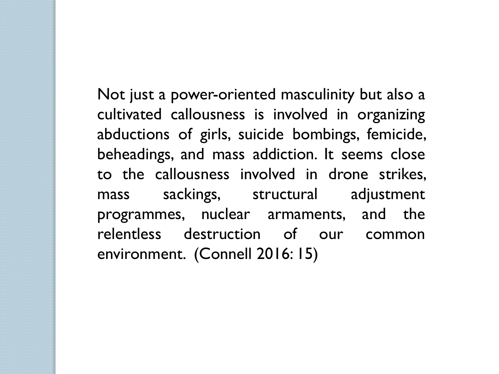Not just a power-oriented masculinity but also a cultivated callousness is involved in organizing abductions of girls, suicide bombings, femicide, beheadings, and mass addiction. It seems close to the callousness involved in drone strikes, mass sackings, structural adjustment programmes, nuclear armaments, and the relentless destruction of our common environment. (Connell 2016: 15)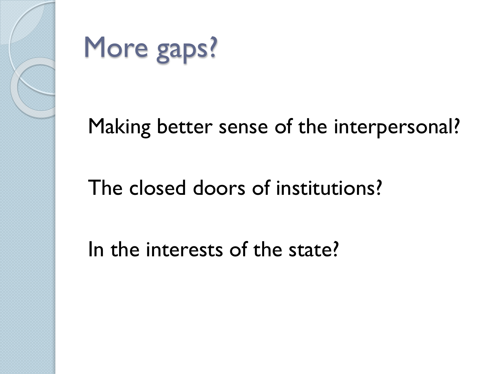

More gaps?

#### Making better sense of the interpersonal?

#### The closed doors of institutions?

In the interests of the state?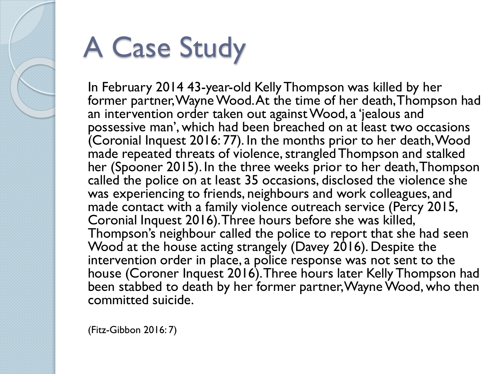

# A Case Study

In February 2014 43-year-old Kelly Thompson was killed by her former partner, Wayne Wood. At the time of her death, Thompson had an intervention order taken out against Wood, a 'jealous and possessive man', which had been breached on at least two occasions (Coronial Inquest 2016: 77). In the months prior to her death, Wood made repeated threats of violence, strangled Thompson and stalked her (Spooner 2015). In the three weeks prior to her death, Thompson called the police on at least 35 occasions, disclosed the violence she was experiencing to friends, neighbours and work colleagues, and made contact with a family violence outreach service (Percy 2015, Coronial Inquest 2016). Three hours before she was killed, Thompson's neighbour called the police to report that she had seen Wood at the house acting strangely (Davey 2016). Despite the intervention order in place, a police response was not sent to the house (Coroner Inquest 2016). Three hours later Kelly Thompson had been stabbed to death by her former partner, Wayne Wood, who then committed suicide.

(Fitz-Gibbon 2016: 7)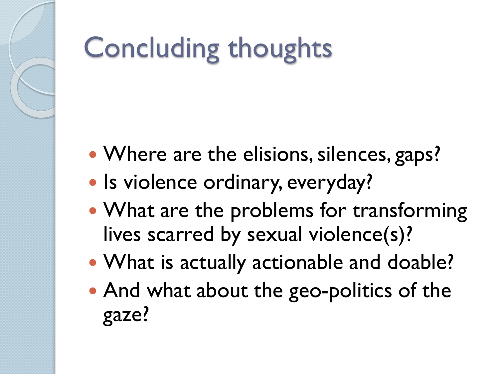# Concluding thoughts

- Where are the elisions, silences, gaps?
- Is violence ordinary, everyday?
- What are the problems for transforming lives scarred by sexual violence(s)?
- What is actually actionable and doable?
- And what about the geo-politics of the gaze?